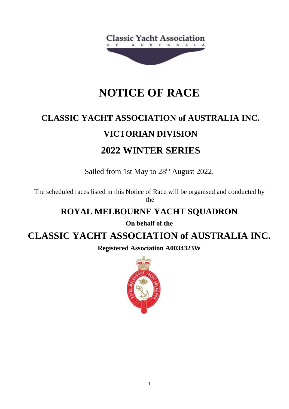

## **NOTICE OF RACE**

# **CLASSIC YACHT ASSOCIATION of AUSTRALIA INC. VICTORIAN DIVISION 2022 WINTER SERIES**

Sailed from 1st May to 28<sup>th</sup> August 2022.

The scheduled races listed in this Notice of Race will be organised and conducted by the

### **ROYAL MELBOURNE YACHT SQUADRON**

**On behalf of the**

## **CLASSIC YACHT ASSOCIATION of AUSTRALIA INC.**

**Registered Association A0034323W**

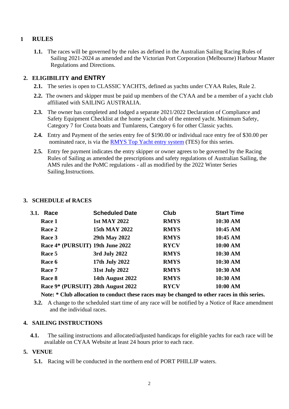#### **1 RULES**

**1.1.** The races will be governed by the rules as defined in the Australian Sailing Racing Rules of Sailing 2021-2024 as amended and the Victorian Port Corporation (Melbourne) Harbour Master Regulations and Directions.

#### **2. ELIGIBILITY and ENTRY**

- **2.1.** The series is open to CLASSIC YACHTS, defined as yachts under CYAA Rules, Rule 2.
- **2.2.** The owners and skipper must be paid up members of the CYAA and be a member of a yacht club affiliated with SAILING AUSTRALIA.
- **2.3.** The owner has completed and lodged a separate 2021/2022 Declaration of Compliance and Safety Equipment Checklist at the home yacht club of the entered yacht. Minimum Safety, Category 7 for Couta boats and Tumlarens, Category 6 for other Classic yachts.
- **2.4.** Entry and Payment of the series entry fee of \$190.00 or individual race entry fee of \$30.00 per nominated race, is via the **RMYS** Top Yacht entry system (TES) for this series.
- **2.5.** Entry fee payment indicates the entry skipper or owner agrees to be governed by the Racing Rules of Sailing as amended the prescriptions and safety regulations of Australian Sailing, the AMS rules and the PoMC regulations - all as modified by the 2022 Winter Series Sailing.Instructions.

#### **3. SCHEDULE of RACES**

| 3.1. | Race                               | <b>Scheduled Date</b> | Club        | <b>Start Time</b> |
|------|------------------------------------|-----------------------|-------------|-------------------|
|      | Race 1                             | <b>1st MAY 2022</b>   | <b>RMYS</b> | 10:30 AM          |
|      | Race 2                             | 15th MAY 2022         | <b>RMYS</b> | 10:45 AM          |
|      | Race 3                             | 29th May 2022         | <b>RMYS</b> | 10:45 AM          |
|      | Race 4* (PURSUIT) 19th June 2022   |                       | <b>RYCV</b> | $10:00$ AM        |
|      | Race 5                             | 3rd July 2022         | <b>RMYS</b> | 10:30 AM          |
|      | Race 6                             | 17th July 2022        | <b>RMYS</b> | 10:30 AM          |
|      | Race 7                             | 31st July 2022        | <b>RMYS</b> | 10:30 AM          |
|      | Race 8                             | 14th August 2022      | <b>RMYS</b> | 10:30 AM          |
|      | Race 9* (PURSUIT) 28th August 2022 |                       | <b>RYCV</b> | 10:00 AM          |
|      |                                    |                       |             |                   |

**Note: \* Club allocation to conduct these races may be changed to other races in this series.**

**3.2.** A change to the scheduled start time of any race will be notified by a Notice of Race amendment and the individual races.

#### **4. SAILING INSTRUCTIONS**

**4.1.** The sailing instructions and allocated/adjusted handicaps for eligible yachts for each race will be available on CYAA Website at least 24 hours prior to each race.

#### **5. VENUE**

**5.1.** Racing will be conducted in the northern end of PORT PHILLIP waters.